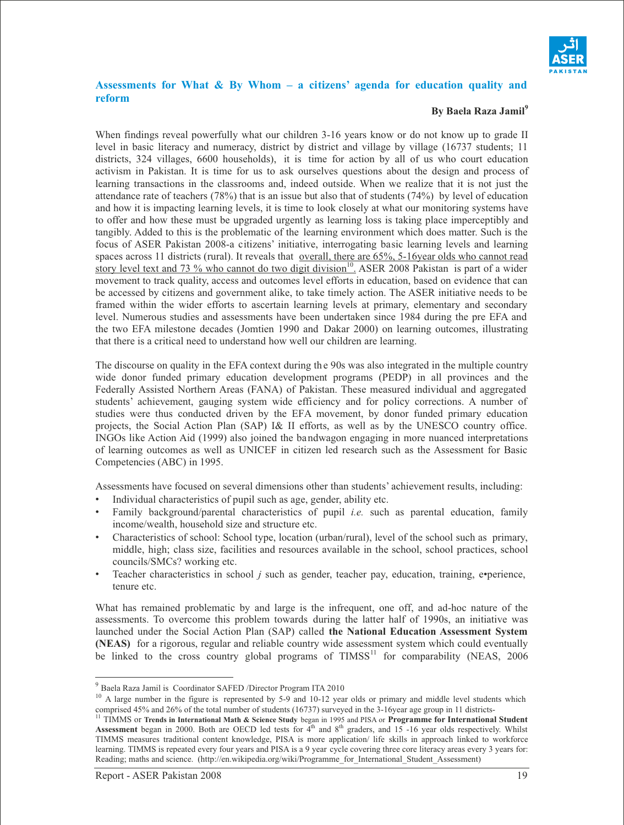

## **Assessments for What & By Whom – a citizens' agenda for education quality and reform**

## **By Baela Raza Jamil<sup>9</sup>**

When findings reveal powerfully what our children 3-16 years know or do not know up to grade II level in basic literacy and numeracy, district by district and village by village (16737 students; 11 districts, 324 villages, 6600 households), it is time for action by all of us who court education activism in Pakistan. It is time for us to ask ourselves questions about the design and process of learning transactions in the classrooms and, indeed outside. When we realize that it is not just the attendance rate of teachers  $(78%)$  that is an issue but also that of students  $(74%)$  by level of education and how it is impacting learning levels, it is time to look closely at what our monitoring systems have to offer and how these must be upgraded urgently as learning loss is taking place imperceptibly and tangibly. Added to this is the problematic of the learning environment which does matter. Such is the focus of ASER Pakistan 2008-a citizens' initiative, interrogating basic learning levels and learning spaces across 11 districts (rural). It reveals that <u>overall, there are 65%, 5-16year olds</u> who cannot read story level text and 73 % who cannot do two digit division<sup>10</sup>. ASER 2008 Pakistan is part of a wider movement to track quality, access and outcomes level efforts in education, based on evidence that can be accessed by citizens and government alike, to take timely action. The ASER initiative needs to be framed within the wider efforts to ascertain learning levels at primary, elementary and secondary level. Numerous studies and assessments have been undertaken since 1984 during the pre EFA and the two EFA milestone decades (Jomtien 1990 and Dakar 2000) on learning outcomes, illustrating that there is a critical need to understand how well our children are learning.

The discourse on quality in the EFA context during th e 90s was also integrated in the multiple country wide donor funded primary education development programs (PEDP) in all provinces and the Federally Assisted Northern Areas (FANA) of Pakistan. These measured individual and aggregated students' achievement, gauging system wide efficiency and for policy corrections. A number of studies were thus conducted driven by the EFA movement, by donor funded primary education projects, the Social Action Plan (SAP) I& II efforts, as well as by the UNESCO country office. INGOs like Action Aid (1999) also joined the bandwagon engaging in more nuanced interpretations of learning outcomes as well as UNICEF in citizen led research such as the Assessment for Basic Competencies (ABC) in 1995.

Assessments have focused on several dimensions other than students' achievement results, including:

- Individual characteristics of pupil such as age, gender, ability etc.
- Family background/parental characteristics of pupil *i.e.* such as parental education, family income/wealth, household size and structure etc.
- Characteristics of school: School type, location (urban/rural), level of the school such as primary, middle, high; class size, facilities and resources available in the school, school practices, school councils/SMCs? working etc.
- Teacher characteristics in school *j* such as gender, teacher pay, education, training, e•perience, tenure etc.

What has remained problematic by and large is the infrequent, one off, and ad-hoc nature of the assessments. To overcome this problem towards during the latter half of 1990s, an initiative was launched under the Social Action Plan (SAP) called **the National Education Assessment System (NEAS)** for a rigorous, regular and reliable country wide assessment system which could eventually be linked to the cross country global programs of  $\text{TIMSS}^{11}$  for comparability (NEAS, 2006

 $\overline{a}$ 

<sup>9</sup> Baela Raza Jamil is Coordinator SAFED /Director Program ITA 2010

<sup>&</sup>lt;sup>10</sup> A large number in the figure is represented by 5-9 and 10-12 year olds or primary and middle level students which comprised 45% and 26% of the total number of students (16737) surveyed in the 3-16year age group in 11 districts-

<sup>11</sup> TIMMS or **Trends in International Math & Science Study** began in 1995 and PISA or **Programme for International Student** Assessment began in 2000. Both are OECD led tests for  $4<sup>th</sup>$  and  $8<sup>th</sup>$  graders, and 15 -16 year olds respectively. Whilst TIMMS measures traditional content knowledge, PISA is more application/ life skills in approach linked to workforce learning. TIMMS is repeated every four years and PISA is a 9 year cycle covering three core literacy areas every 3 years for: Reading; maths and science. (http://en.wikipedia.org/wiki/Programme\_for\_International\_Student\_Assessment)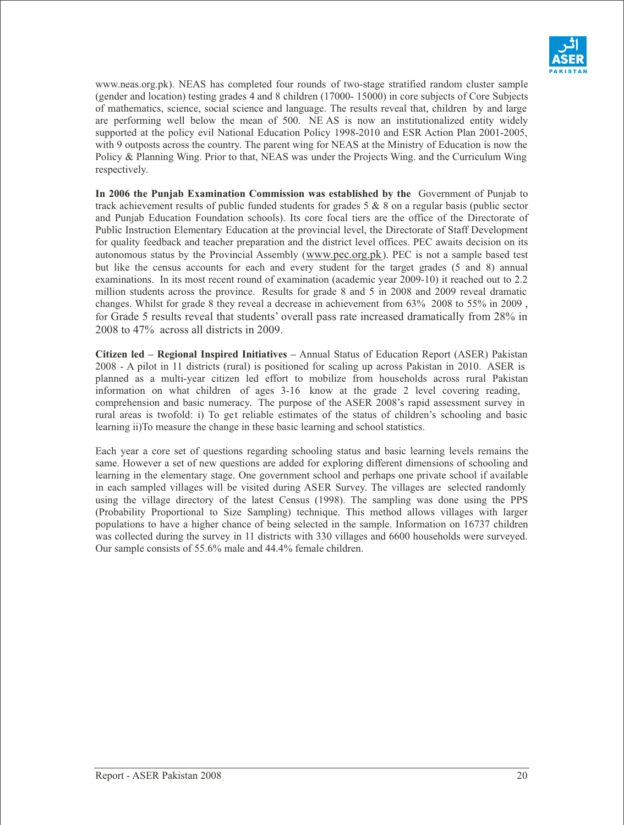

www.neas.org.pk). NEAS has completed four rounds of two-stage stratified random cluster sample (gender and location) testing grades 4 and 8 children (17000- 15000) in core subjects of Core Subjects of mathematics, science, social science and language. The results reveal that, children by and large are performing well below the mean of 500. NE AS is now an institutionalized entity widely supported at the policy evil National Education Policy 1998-2010 and ESR Action Plan 2001-2005, with 9 outposts across the country. The parent wing for NEAS at the Ministry of Education is now the Policy & Planning Wing. Prior to that, NEAS was under the Projects Wing. and the Curriculum Wing respectively.

**In 2006 the Punjab Examination Commission was established by the** Government of Punjab to track achievement results of public funded students for grades 5 & 8 on a regular basis (public sector and Punjab Education Foundation schools). Its core focal tiers are the office of the Directorate of Public Instruction Elementary Education at the provincial level, the Directorate of Staff Development for quality feedback and teacher preparation and the district level offices. PEC awaits decision on its autonomous status by the Provincial Assembly (www.pec.org.pk). PEC is not a sample based test but like the census accounts for each and every student for the target grades (5 and 8) annual examinations. In its most recent round of examination (academic year 2009-10) it reached out to 2.2 million students across the province. Results for grade 8 and 5 in 2008 and 2009 reveal dramatic changes. Whilst for grade 8 they reveal a decrease in achievement from 63% 2008 to 55% in 2009 , for Grade 5 results reveal that students' overall pass rate increased dramatically from 28% in 2008 to 47% across all districts in 2009.

**Citizen led – Regional Inspired Initiatives –** Annual Status of Education Report (ASER) Pakistan 2008 - A pilot in 11 districts (rural) is positioned for scaling up across Pakistan in 2010. ASER is planned as a multi-year citizen led effort to mobilize from households across rural Pakistan information on what children of ages 3-16 know at the grade 2 level covering reading, comprehension and basic numeracy. The purpose of the ASER 2008's rapid assessment survey in rural areas is twofold: i) To get reliable estimates of the status of children's schooling and basic learning ii)To measure the change in these basic learning and school statistics.

Each year a core set of questions regarding schooling status and basic learning levels remains the same. However a set of new questions are added for exploring different dimensions of schooling and learning in the elementary stage. One government school and perhaps one private school if available in each sampled villages will be visited during ASER Survey. The villages are selected randomly using the village directory of the latest Census (1998). The sampling was done using the PPS (Probability Proportional to Size Sampling) technique. This method allows villages with larger populations to have a higher chance of being selected in the sample. Information on 16737 children was collected during the survey in 11 districts with 330 villages and 6600 households were surveyed. Our sample consists of 55.6% male and 44.4% female children.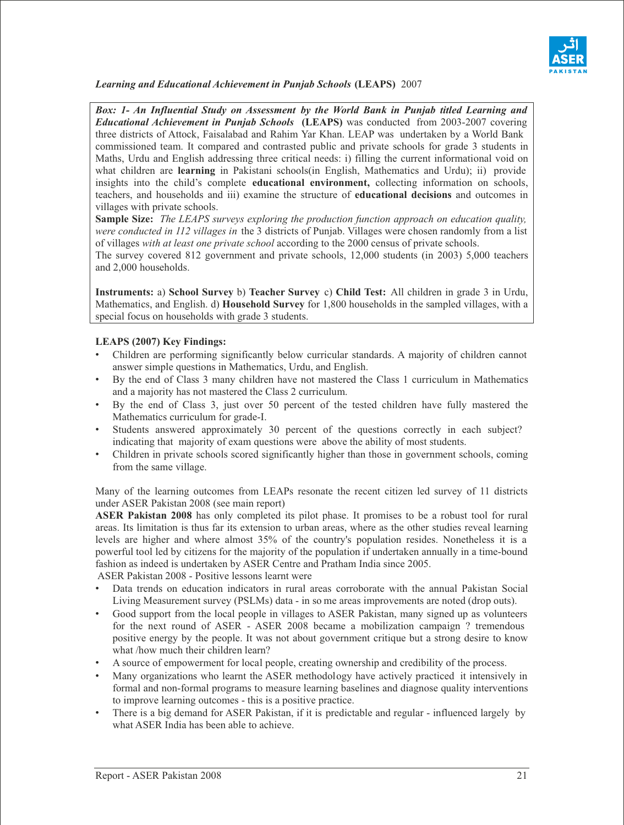

*Learning and Educational Achievement in Punjab Schools* **(LEAPS)** 2007

*Box: 1- An Influential Study on Assessment by the World Bank in Punjab titled Learning and Educational Achievement in Punjab Schools* **(LEAPS)** was conducted from 2003-2007 covering three districts of Attock, Faisalabad and Rahim Yar Khan. LEAP was undertaken by a World Bank commissioned team. It compared and contrasted public and private schools for grade 3 students in Maths, Urdu and English addressing three critical needs: i) filling the current informational void on what children are **learning** in Pakistani schools(in English, Mathematics and Urdu); ii) provide insights into the child's complete **educational environment,** collecting information on schools, teachers, and households and iii) examine the structure of **educational decisions** and outcomes in villages with private schools.

**Sample Size:** *The LEAPS surveys exploring the production function approach on education quality, were conducted in 112 villages in* the 3 districts of Punjab. Villages were chosen randomly from a list of villages *with at least one private school* according to the 2000 census of private schools.

The survey covered 812 government and private schools, 12,000 students (in 2003) 5,000 teachers and 2,000 households.

**Instruments:** a) **School Survey** b) **Teacher Survey** c) **Child Test:** All children in grade 3 in Urdu, Mathematics, and English. d) **Household Survey** for 1,800 households in the sampled villages, with a special focus on households with grade 3 students.

# **LEAPS (2007) Key Findings:**

- Children are performing significantly below curricular standards. A majority of children cannot answer simple questions in Mathematics, Urdu, and English.
- By the end of Class 3 many children have not mastered the Class 1 curriculum in Mathematics and a majority has not mastered the Class 2 curriculum.
- By the end of Class 3, just over 50 percent of the tested children have fully mastered the Mathematics curriculum for grade-I.
- Students answered approximately 30 percent of the questions correctly in each subject? indicating that majority of exam questions were above the ability of most students.
- Children in private schools scored significantly higher than those in government schools, coming from the same village.

Many of the learning outcomes from LEAPs resonate the recent citizen led survey of 11 districts under ASER Pakistan 2008 (see main report)

**ASER Pakistan 2008** has only completed its pilot phase. It promises to be a robust tool for rural areas. Its limitation is thus far its extension to urban areas, where as the other studies reveal learning levels are higher and where almost 35% of the country's population resides. Nonetheless it is a powerful tool led by citizens for the majority of the population if undertaken annually in a time-bound fashion as indeed is undertaken by ASER Centre and Pratham India since 2005.

ASER Pakistan 2008 - Positive lessons learnt were

- Data trends on education indicators in rural areas corroborate with the annual Pakistan Social Living Measurement survey (PSLMs) data - in so me areas improvements are noted (drop outs).
- Good support from the local people in villages to ASER Pakistan, many signed up as volunteers for the next round of ASER - ASER 2008 became a mobilization campaign ? tremendous positive energy by the people. It was not about government critique but a strong desire to know what /how much their children learn?
- A source of empowerment for local people, creating ownership and credibility of the process.
- Many organizations who learnt the ASER methodology have actively practiced it intensively in formal and non-formal programs to measure learning baselines and diagnose quality interventions to improve learning outcomes - this is a positive practice.
- There is a big demand for ASER Pakistan, if it is predictable and regular influenced largely by what ASER India has been able to achieve.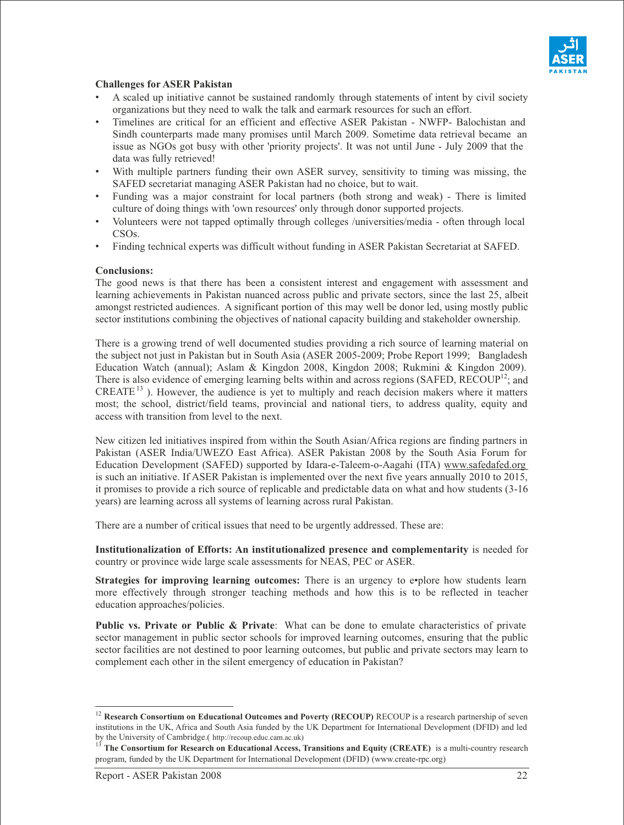

# **Challenges for ASER Pakistan**

- A scaled up initiative cannot be sustained randomly through statements of intent by civil society organizations but they need to walk the talk and earmark resources for such an effort.
- Timelines are critical for an efficient and effective ASER Pakistan NWFP- Balochistan and Sindh counterparts made many promises until March 2009. Sometime data retrieval became an issue as NGOs got busy with other 'priority projects'. It was not until June - July 2009 that the data was fully retrieved!
- With multiple partners funding their own ASER survey, sensitivity to timing was missing, the SAFED secretariat managing ASER Pakistan had no choice, but to wait.
- Funding was a major constraint for local partners (both strong and weak) There is limited culture of doing things with 'own resources' only through donor supported projects.
- Volunteers were not tapped optimally through colleges /universities/media often through local CSOs.
- Finding technical experts was difficult without funding in ASER Pakistan Secretariat at SAFED.

#### **Conclusions:**

The good news is that there has been a consistent interest and engagement with assessment and learning achievements in Pakistan nuanced across public and private sectors, since the last 25, albeit amongst restricted audiences. A significant portion of this may well be donor led, using mostly public sector institutions combining the objectives of national capacity building and stakeholder ownership.

There is a growing trend of well documented studies providing a rich source of learning material on the subject not just in Pakistan but in South Asia (ASER 2005-2009; Probe Report 1999; Bangladesh Education Watch (annual); Aslam & Kingdon 2008, Kingdon 2008; Rukmini & Kingdon 2009). There is also evidence of emerging learning belts within and across regions (SAFED, RECOUP<sup>12</sup>; and  $CREATE<sup>13</sup>$ ). However, the audience is yet to multiply and reach decision makers where it matters most; the school, district/field teams, provincial and national tiers, to address quality, equity and access with transition from level to the next.

New citizen led initiatives inspired from within the South Asian/Africa regions are finding partners in Pakistan (ASER India/UWEZO East Africa). ASER Pakistan 2008 by the South Asia Forum for Education Development (SAFED) supported by Idara-e-Taleem-o-Aagahi (ITA) www.safedafed.org is such an initiative. If ASER Pakistan is implemented over the next five years annually 2010 to 2015, it promises to provide a rich source of replicable and predictable data on what and how students (3-16 years) are learning across all systems of learning across rural Pakistan.

There are a number of critical issues that need to be urgently addressed. These are:

**Institutionalization of Efforts: An institutionalized presence and complementarity** is needed for country or province wide large scale assessments for NEAS, PEC or ASER.

**Strategies for improving learning outcomes:** There is an urgency to e•plore how students learn more effectively through stronger teaching methods and how this is to be reflected in teacher education approaches/policies.

**Public vs. Private or Public & Private**: What can be done to emulate characteristics of private sector management in public sector schools for improved learning outcomes, ensuring that the public sector facilities are not destined to poor learning outcomes, but public and private sectors may learn to complement each other in the silent emergency of education in Pakistan?

 $\overline{a}$ 

<sup>&</sup>lt;sup>12</sup> Research Consortium on Educational Outcomes and Poverty (RECOUP) RECOUP is a research partnership of seven institutions in the UK, Africa and South Asia funded by the UK Department for International Development (DFID) and led by the University of Cambridge.( http://recoup.educ.cam.ac.uk)

<sup>13</sup> **The Consortium for Research on Educational Access, Transitions and Equity (CREATE)** is a multi-country research program, funded by the UK Department for International Development (DFID) (www.create-rpc.org)